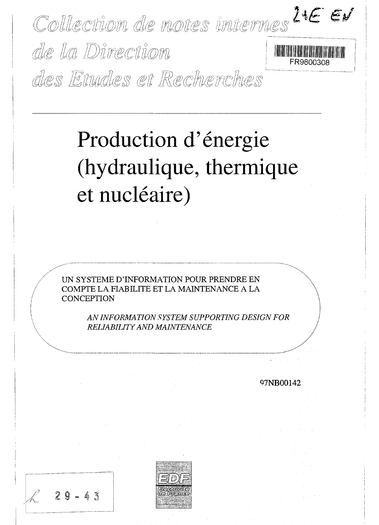

dles Eitudes et Recherches

# Production d'énergie (hydraulique, thermique et nucléaire)

UN SYSTEME D'INFORMATION POUR PRENDRE EN COMPTE LA FIABILITE ET LA MAINTENANCE A LA **CONCEPTION** 

> *AN INFORMATION SYSTEM SUPPORTING DESIGN FOR RELIABILITY AND MAINTENANCE*

> > 97NB00142



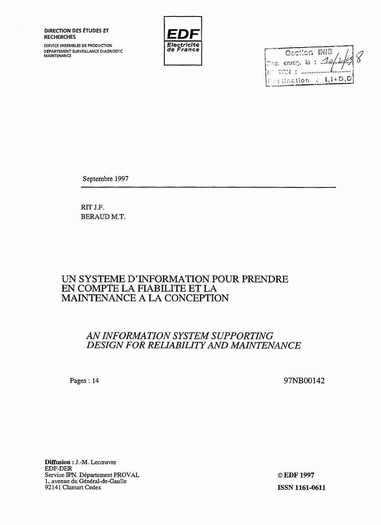#### **DIRECTION DES ETUDES ET RECHERCHES**

**SERVICE ENSEMBLES DE PRODUCTION DÉPARTEMENT SURVEILLANCE DIAGNOSTIC MAINTENANCE**



| $\frac{1000}{(1000 \text{ erg. } \log 10^{11} \text{ m/s})}$                                                    |  |
|-----------------------------------------------------------------------------------------------------------------|--|
|                                                                                                                 |  |
|                                                                                                                 |  |
| $\left\{\left[\right.\right.\right\}$ settingtion : $\left.\mathbf{I},\mathbf{I}+\mathbf{D},\mathbf{D}\right\}$ |  |

Septembre 1997

RTTJ.F. BERAUDM.T.

## UN SYSTEME D'INFORMATION POUR PRENDRE EN COMPTE LA HABILITE ET LA MAINTENANCE A LA CONCEPTION

## *AN INFORMATION SYSTEM SUPPORTING DESIGN FOR RELIABILITY AND MAINTENANCE*

Pages : 14 97NB00142

**Diffusion**: J.-M. Lecceuvre EDF-DER Service IPN. Département PROVAL 1, avenue du Général-de-Gaulle 92141 Clamart Cedex

©EDF1997 ISSN 1161-0611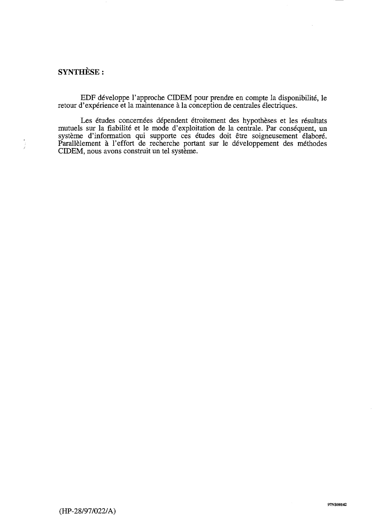#### SYNTHESE:

j

EDF developpe l'approche CIDEM pour prendre en compte la disponibilite, le retour d'experience et la maintenance a la conception de centrales electriques.

Les études concernées dépendent étroitement des hypothèses et les résultats mutuels sur la fiabilite et le mode d'exploitation de la centrale. Par consequent, un système d'information qui supporte ces études doit être soigneusement élaboré. Parallèlement à l'effort de recherche portant sur le développement des méthodes CIDEM, nous avons construit un tel système.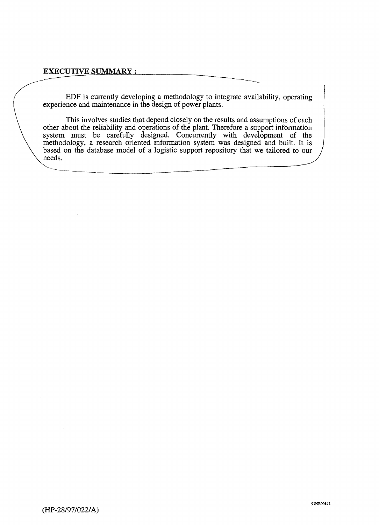#### EXECUTIVE SUMMARY:

EDF is currently developing a methodology to integrate availability, operating experience and maintenance in the design of power plants.

This involves studies that depend closely on the results and assumptions of each other about the reliability and operations of the plant. Therefore a support information system must be carefully designed. Concurrently with development of the methodology, a research oriented information system was designed and built. It is based on the database model of a logistic support repository that we tailored to our needs.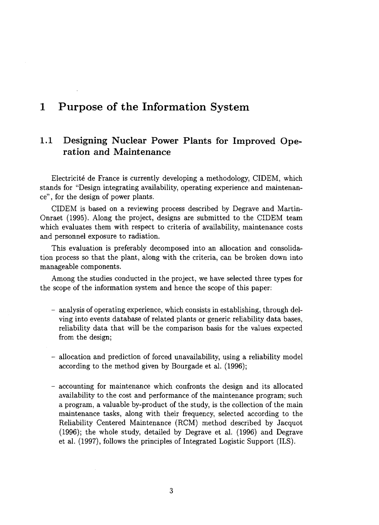## 1 Purpose of the Information System

## 1.1 Designing Nuclear Power Plants for Improved Operation and Maintenance

Electricite de France is currently developing a methodology, CIDEM, which stands for "Design integrating availability, operating experience and maintenance" , for the design of power plants.

CIDEM is based on a reviewing process described by Degrave and Martin-Onraet (1995). Along the project, designs are submitted to the CIDEM team which evaluates them with respect to criteria of availability, maintenance costs and personnel exposure to radiation.

This evaluation is preferably decomposed into an allocation and consolidation process so that the plant, along with the criteria, can be broken down into manageable components.

Among the studies conducted in the project, we have selected three types for the scope of the information system and hence the scope of this paper:

- analysis of operating experience, which consists in establishing, through delving into events database of related plants or generic reliability data bases, reliability data that will be the comparison basis for the values expected from the design;
- allocation and prediction of forced unavailability, using a reliability model according to the method given by Bourgade et al. (1996);
- accounting for maintenance which confronts the design and its allocated availability to the cost and performance of the maintenance program; such a program, a valuable by-product of the study, is the collection of the main maintenance tasks, along with their frequency, selected according to the Reliability Centered Maintenance (RCM) method described by Jacquot (1996); the whole study, detailed by Degrave et al. (1996) and Degrave et al. (1997), follows the principles of Integrated Logistic Support (ILS).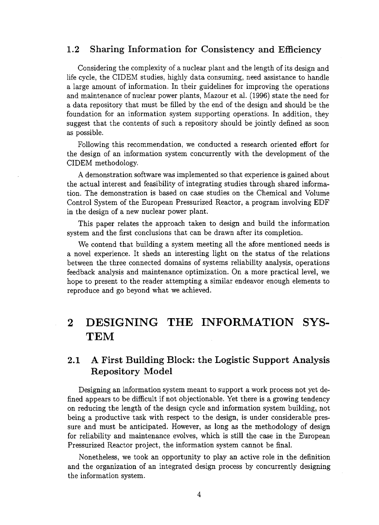#### 1.2 Sharing Information for Consistency and Efficiency

Considering the complexity of a nuclear plant and the length of its design and life cycle, the CIDEM studies, highly data consuming, need assistance to handle a large amount of information. In their guidelines for improving the operations and maintenance of nuclear power plants, Mazour et al. (1996) state the need for a data repository that must be filled by the end of the design and should be the foundation for an information system supporting operations. In addition, they suggest that the contents of such a repository should be jointly defined as soon as possible.

Following this recommendation, we conducted a research oriented effort for the design of an information system concurrently with the development of the CIDEM methodology.

A demonstration software was implemented so that experience is gained about the actual interest and feasibility of integrating studies through shared information. The demonstration is based on case studies on the Chemical and Volume Control System of the European Pressurized Reactor, a program involving EDF in the design of a new nuclear power plant.

This paper relates the approach taken to design and build the information system and the first conclusions that can be drawn after its completion.

We contend that building a system meeting all the afore mentioned needs is a novel experience. It sheds an interesting light on the status of the relations between the three connected domains of systems reliability analysis, operations feedback analysis and maintenance optimization. On a more practical level, we hope to present to the reader attempting a similar endeavor enough elements to reproduce and go beyond what we achieved.

## 2 DESIGNING THE INFORMATION SYS-**TEM**

## 2.1 A First Building Block: the Logistic Support Analysis Repository Model

Designing an information system meant to support a work process not yet defined appears to be difficult if not objectionable. Yet there is a growing tendency on reducing the length of the design cycle and information system building, not being a productive task with respect to the design, is under considerable pressure and must be anticipated. However, as long as the methodology of design for reliability and maintenance evolves, which is still the case in the European Pressurized Reactor project, the information system cannot be final.

Nonetheless, we took an opportunity to play an active role in the definition and the organization of an integrated design process by concurrently designing the information system.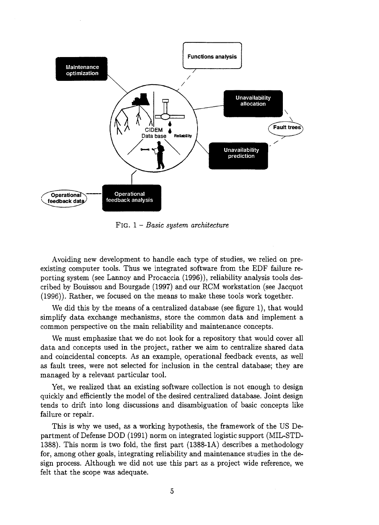

FIG. 1 - *Basic system architecture*

Avoiding new development to handle each type of studies, we relied on preexisting computer tools. Thus we integrated software from the EDF failure reporting system (see Lannoy and Procaccia (1996)), reliability analysis tools described by Bouissou and Bourgade (1997) and our RCM workstation (see Jacquot (1996)). Rather, we focused on the means to make these tools work together.

We did this by the means of a centralized database (see figure 1), that would simplify data exchange mechanisms, store the common data and implement a common perspective on the main reliability and maintenance concepts.

We must emphasize that we do not look for a repository that would cover all data and concepts used in the project, rather we aim to centralize shared data and coincidental concepts. As an example, operational feedback events, as well as fault trees, were not selected for inclusion in the central database; they are managed by a relevant particular tool.

Yet, we realized that an existing software collection is not enough to design quickly and efficiently the model of the desired centralized database. Joint design tends to drift into long discussions and disambiguation of basic concepts like failure or repair.

This is why we used, as a working hypothesis, the framework of the US Department of Defense DOD (1991) norm on integrated logistic support (MIL-STD-1388). This norm is two fold, the first part  $(1388-1)$  describes a methodology for, among other goals, integrating reliability and maintenance studies in the design process. Although we did not use this part as a project wide reference, we felt that the scope was adequate.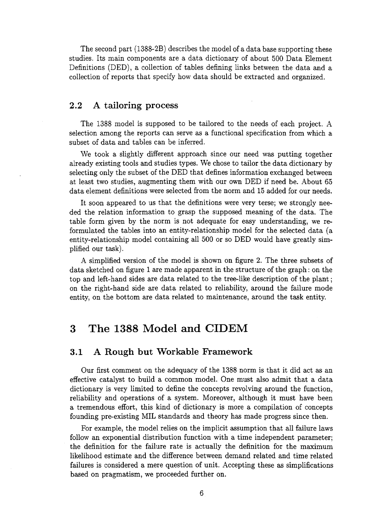The second part (1388-2B) describes the model of a data base supporting these studies. Its main components are a data dictionary of about 500 Data Element Definitions (DED), a collection of tables defining links between the data and a collection of reports that specify how data should be extracted and organized.

#### 2.2 A tailoring process

The 1388 model is supposed to be tailored to the needs of each project. A selection among the reports can serve as a functional specification from which a subset of data and tables can be inferred.

We took a slightly different approach since our need was putting together already existing tools and studies types. We chose to tailor the data dictionary by selecting only the subset of the DED that defines information exchanged between at least two studies, augmenting them with our own DED if need be. About 65 data element definitions were selected from the norm and 15 added for our needs.

It soon appeared to us that the definitions were very terse; we strongly needed the relation information to grasp the supposed meaning of the data. The table form given by the norm is not adequate for easy understanding, we reformulated the tables into an entity-relationship model for the selected data (a entity-relationship model containing all 500 or so DED would have greatly simplified our task).

A simplified version of the model is shown on figure 2. The three subsets of data sketched on figure 1 are made apparent in the structure of the graph: on the top and left-hand sides are data related to the tree-like description of the plant; on the right-hand side are data related to reliability, around the failure mode entity, on the bottom are data related to maintenance, around the task entity.

## 3 The 1388 Model and CIDEM

#### 3.1 A Rough but Workable Framework

Our first comment on the adequacy of the 1388 norm is that it did act as an effective catalyst to build a common model. One must also admit that a data dictionary is very limited to define the concepts revolving around the function, reliability and operations of a system. Moreover, although it must have been a tremendous effort, this kind of dictionary is more a compilation of concepts founding pre-existing MIL standards and theory has made progress since then.

For example, the model relies on the implicit assumption that all failure laws follow an exponential distribution function with a time independent parameter; the definition for the failure rate is actually the definition for the maximum likelihood estimate and the difference between demand related and time related failures is considered a mere question of unit. Accepting these as simplifications based on pragmatism, we proceeded further on.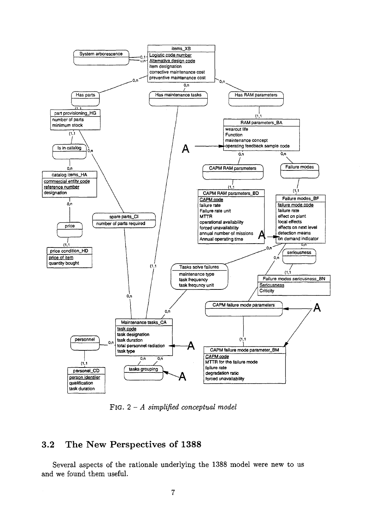

FIG. 2 - *A simplified conceptual model*

## 3.2 The New Perspectives of 1388

Several aspects of the rationale underlying the 1388 model were new to us and we found them useful.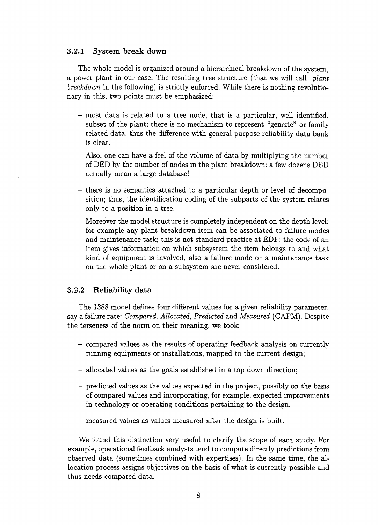#### **3.2.1 System break down**

The whole model is organized around a hierarchical breakdown of the system, a power plant in our case. The resulting tree structure (that we will call *plant breakdown* in the following) is strictly enforced. While there is nothing revolutionary in this, two points must be emphasized:

- most data is related to a tree node, that is a particular, well identified, subset of the plant; there is no mechanism to represent "generic" or family related data, thus the difference with general purpose reliability data bank is clear.

Also, one can have a feel of the volume of data by multiplying the number of DED by the number of nodes in the plant breakdown: a few dozens DED actually mean a large database!

- there is no semantics attached to a particular depth or level of decomposition; thus, the identification coding of the subparts of the system relates only to a position in a tree.

Moreover the model structure is completely independent on the depth level: for example any plant breakdown item can be associated to failure modes and maintenance task; this is not standard practice at EDF: the code of an item gives information on which subsystem the item belongs to and what kind of equipment is involved, also a failure mode or a maintenance task on the whole plant or on a subsystem are never considered.

#### **3.2.2 Reliability data**

The 1388 model defines four different values for a given reliability parameter, say a failure rate: *Compared, Allocated, Predicted* and *Measured* (CAPM). Despite the terseness of the norm on their meaning, we took:

- compared values as the results of operating feedback analysis on currently running equipments or installations, mapped to the current design;
- allocated values as the goals established in a top down direction;
- predicted values as the values expected in the project, possibly on the basis of compared values and incorporating, for example, expected improvements in technology or operating conditions pertaining to the design;
- measured values as values measured after the design is built.

We found this distinction very useful to clarify the scope of each study. For example, operational feedback analysts tend to compute directly predictions from observed data (sometimes combined with expertises). In the same time, the allocation process assigns objectives on the basis of what is currently possible and thus needs compared data.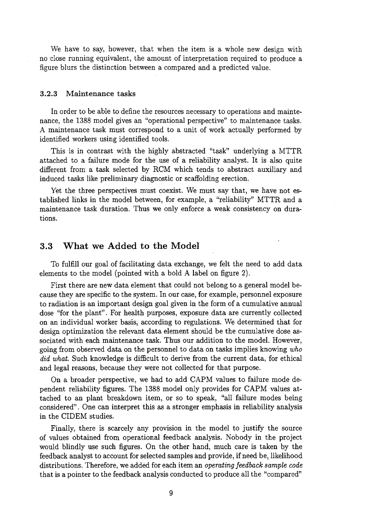We have to say, however, that when the item is a whole new design with no close running equivalent, the amount of interpretation required to produce a figure blurs the distinction between a compared and a predicted value.

#### 3.2.3 Maintenance tasks

In order to be able to define the resources necessary to operations and maintenance, the 1388 model gives an "operational perspective" to maintenance tasks. A maintenance task must correspond to a unit of work actually performed by identified workers using identified tools.

This is in contrast with the highly abstracted "task" underlying a MTTR attached to a failure mode for the use of a reliability analyst. It is also quite different from a task selected by RCM which tends to abstract auxiliary and induced tasks like preliminary diagnostic or scaffolding erection.

Yet the three perspectives must coexist. We must say that, we have not established links in the model between, for example, a "reliability" MTTR and a maintenance task duration. Thus we only enforce a weak consistency on durations.

#### 3.3 What we Added to the Model

To fulfill our goal of facilitating data exchange, we felt the need to add data elements to the model (pointed with a bold A label on figure 2).

First there are new data element that could not belong to a general model because they are specific to the system. In our case, for example, personnel exposure to radiation is an important design goal given in the form of a cumulative annual dose "for the plant". For health purposes, exposure data are currently collected on an individual worker basis, according to regulations. We determined that for design optimization the relevant data element should be the cumulative dose associated with each maintenance task. Thus our addition to the model. However, going from observed data on the personnel to data on tasks implies knowing *who did what.* Such knowledge is difficult to derive from the current data, for ethical and legal reasons, because they were not collected for that purpose.

On a broader perspective, we had to add CAPM values to failure mode dependent reliability figures. The 1388 model only provides for CAPM values attached to an plant breakdown item, or so to speak, "all failure modes being considered". One can interpret this as a stronger emphasis in reliability analysis in the CIDEM studies.

Finally, there is scarcely any provision in the model to justify the source of values obtained from operational feedback analysis. Nobody in the project would blindly use such figures. On the other hand, much care is taken by the feedback analyst to account for selected samples and provide, if need be, likelihood distributions. Therefore, we added for each item an *operating feedback sample code* that is a pointer to the feedback analysis conducted to produce all the "compared"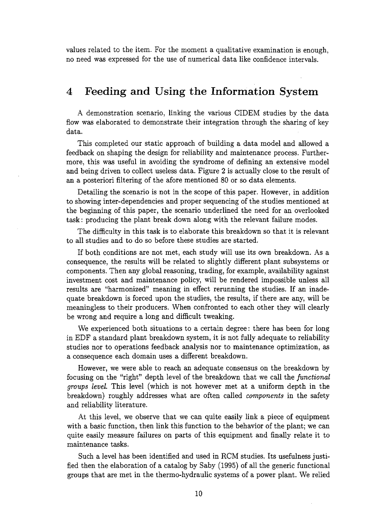values related to the item. For the moment a qualitative examination is enough, no need was expressed for the use of numerical data like confidence intervals.

## 4 Feeding and Using the Information System

A demonstration scenario, linking the various CIDEM studies by the data flow was elaborated to demonstrate their integration through the sharing of key data.

This completed our static approach of building a data model and allowed a feedback on shaping the design for reliability and maintenance process. Furthermore, this was useful in avoiding the syndrome of defining an extensive model and being driven to collect useless data. Figure 2 is actually close to the result of an a posteriori filtering of the afore mentioned 80 or so data elements.

Detailing the scenario is not in the scope of this paper. However, in addition to showing inter-dependencies and proper sequencing of the studies mentioned at the beginning of this paper, the scenario underlined the need for an overlooked task: producing the plant break down along with the relevant failure modes.

The difficulty in this task is to elaborate this breakdown so that it is relevant to all studies and to do so before these studies are started.

If both conditions are not met, each study will use its own breakdown. As a consequence, the results will be related to slightly different plant subsystems or components. Then any global reasoning, trading, for example, availability against investment cost and maintenance policy, will be rendered impossible unless all results are "harmonized" meaning in effect rerunning the studies. If an inadequate breakdown is forced upon the studies, the results, if there are any, will be meaningless to their producers. When confronted to each other they will clearly be wrong and require a long and difficult tweaking.

We experienced both situations to a certain degree: there has been for long in EDF a standard plant breakdown system, it is not fully adequate to reliability studies nor to operations feedback analysis nor to maintenance optimization, as a consequence each domain uses a different breakdown.

However, we were able to reach an adequate consensus on the breakdown by focusing on the "right" depth level of the breakdown that we call the *functional groups level.* This level (which is not however met at a uniform depth in the breakdown) roughly addresses what are often called *components* in the safety and reliability literature.

At this level, we observe that we can quite easily link a piece of equipment with a basic function, then link this function to the behavior of the plant; we can quite easily measure failures on parts of this equipment and finally relate it to maintenance tasks.

Such a level has been identified and used in RCM studies. Its usefulness justified then the elaboration of a catalog by Saby (1995) of all the generic functional groups that are met in the thermo-hydraulic systems of a power plant. We relied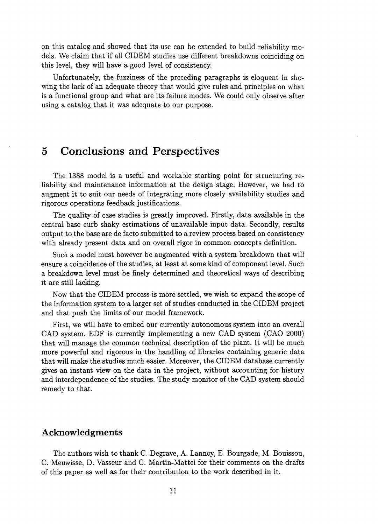on this catalog and showed that its use can be extended to build reliability models. We claim that if all CIDEM studies use different breakdowns coinciding on this level, they will have a good level of consistency.

Unfortunately, the fuzziness of the preceding paragraphs is eloquent in showing the lack of an adequate theory that would give rules and principles on what is a functional group and what are its failure modes. We could only observe after using a catalog that it was adequate to our purpose.

## 5 Conclusions and Perspectives

The 1388 model is a useful and workable starting point for structuring reliability and maintenance information at the design stage. However, we had to augment it to suit our needs of integrating more closely availability studies and rigorous operations feedback justifications.

The quality of case studies is greatly improved. Firstly, data available in the central base curb shaky estimations of unavailable input data. Secondly, results output to the base are de facto submitted to a review process based on consistency with already present data and on overall rigor in common concepts definition.

Such a model must however be augmented with a system breakdown that will ensure a coincidence of the studies, at least at some kind of component level. Such a breakdown level must be finely determined and theoretical ways of describing it are still lacking.

Now that the CIDEM process is more settled, we wish to expand the scope of the information system to a larger set of studies conducted in the CIDEM project and that push the limits of our model framework.

First, we will have to embed our currently autonomous system into an overall CAD system. EDF is currently implementing a new CAD system (CAO 2000) that will manage the common technical description of the plant. It will be much more powerful and rigorous in the handling of libraries containing generic data that will make the studies much easier. Moreover, the CIDEM database currently gives an instant view on the data in the project, without accounting for history and interdependence of the studies. The study monitor of the CAD system should remedy to that.

#### Acknowledgments

The authors wish to thank C. Degrave, A. Lannoy, E. Bourgade, M. Bouissou, C. Meuwisse, D. Vasseur and C. Martin-Mattei for their comments on the drafts of this paper as well as for their contribution to the work described in it.